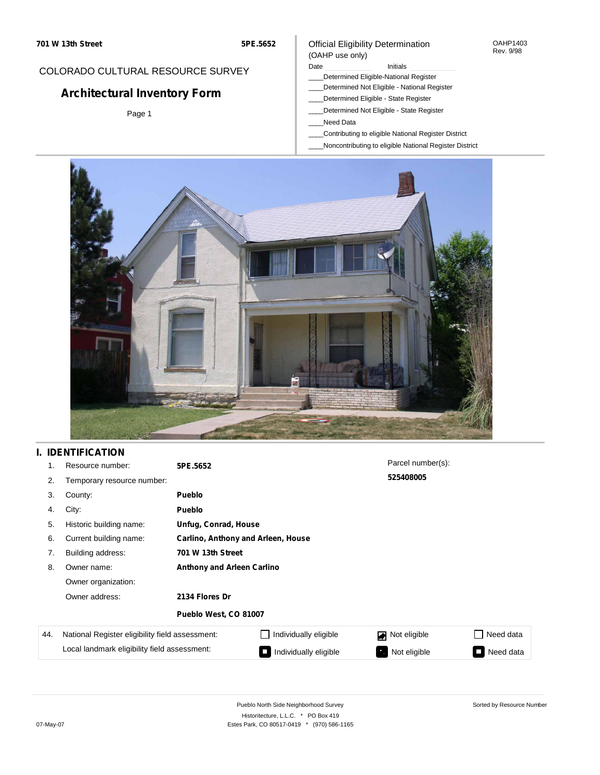#### Official Eligibility Determination (OAHP use only)

OAHP1403 Rev. 9/98

# COLORADO CULTURAL RESOURCE SURVEY

# **Architectural Inventory Form**

Page 1

#### Date **Initials** Initials

- \_\_\_\_Determined Eligible-National Register
- \_\_\_\_Determined Not Eligible National Register \_\_\_\_Determined Eligible - State Register
- \_\_\_\_Determined Not Eligible State Register
- \_\_\_\_Need Data
- \_\_\_\_Contributing to eligible National Register District
- \_\_\_\_Noncontributing to eligible National Register District



## **I. IDENTIFICATION**

| 1.  | Resource number:                                | 5PE.5652                           |                       | Parcel number(s):  |           |  |  |  |
|-----|-------------------------------------------------|------------------------------------|-----------------------|--------------------|-----------|--|--|--|
| 2.  | Temporary resource number:                      |                                    |                       | 525408005          |           |  |  |  |
| 3.  | County:                                         | <b>Pueblo</b>                      |                       |                    |           |  |  |  |
| 4.  | City:                                           | <b>Pueblo</b>                      |                       |                    |           |  |  |  |
| 5.  | Historic building name:                         |                                    | Unfug, Conrad, House  |                    |           |  |  |  |
| 6.  | Current building name:                          | Carlino, Anthony and Arleen, House |                       |                    |           |  |  |  |
| 7.  | Building address:                               | 701 W 13th Street                  |                       |                    |           |  |  |  |
| 8.  | Owner name:                                     | <b>Anthony and Arleen Carlino</b>  |                       |                    |           |  |  |  |
|     | Owner organization:                             |                                    |                       |                    |           |  |  |  |
|     | Owner address:                                  | 2134 Flores Dr                     |                       |                    |           |  |  |  |
|     |                                                 | Pueblo West, CO 81007              |                       |                    |           |  |  |  |
| 44. | National Register eligibility field assessment: |                                    | Individually eligible | Not eligible       | Need data |  |  |  |
|     | Local landmark eligibility field assessment:    |                                    | Individually eligible | Not eligible<br>-7 | Need data |  |  |  |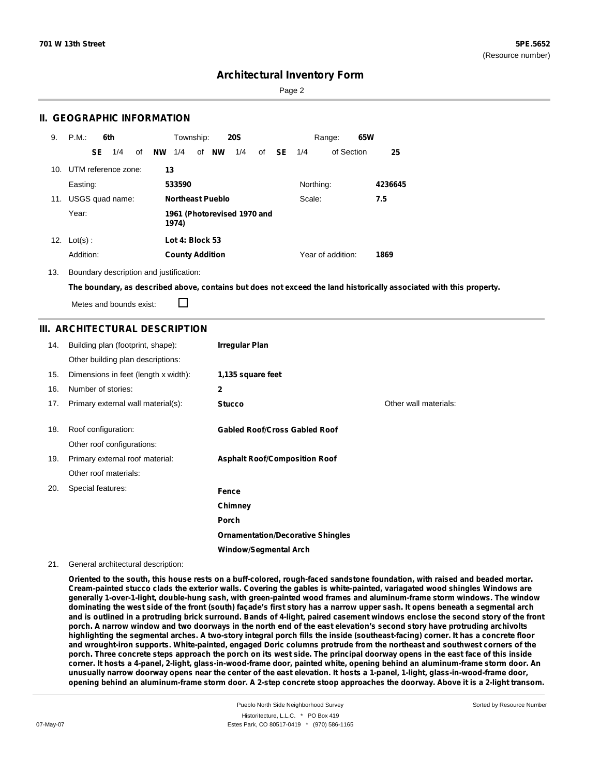Page 2

### **II. GEOGRAPHIC INFORMATION**

| 9.  | P.M.       |     | 6th                 |    |                                      | Township:              |  |                         | <b>20S</b> |    |               |           | Range:            | 65W |         |
|-----|------------|-----|---------------------|----|--------------------------------------|------------------------|--|-------------------------|------------|----|---------------|-----------|-------------------|-----|---------|
|     |            | SE. | 1/4                 | of | <b>NW</b>                            | 1/4                    |  | of NW                   | 1/4        | of | <b>SE</b> 1/4 |           | of Section        |     | 25      |
| 10. |            |     | UTM reference zone: |    | 13                                   |                        |  |                         |            |    |               |           |                   |     |         |
|     | Easting:   |     |                     |    |                                      | 533590                 |  |                         |            |    |               | Northing: |                   |     | 4236645 |
| 11. |            |     | USGS quad name:     |    |                                      |                        |  | <b>Northeast Pueblo</b> |            |    |               | Scale:    |                   |     | 7.5     |
|     | Year:      |     |                     |    | 1961 (Photorevised 1970 and<br>1974) |                        |  |                         |            |    |               |           |                   |     |         |
| 12. | $Lot(s)$ : |     |                     |    |                                      | Lot 4: Block 53        |  |                         |            |    |               |           |                   |     |         |
|     | Addition:  |     |                     |    |                                      | <b>County Addition</b> |  |                         |            |    |               |           | Year of addition: |     | 1869    |

13. Boundary description and justification:

The boundary, as described above, contains but does not exceed the land historically associated with this property.

Metes and bounds exist:

П

### **III. ARCHITECTURAL DESCRIPTION**

| 14. | Building plan (footprint, shape):    | <b>Irregular Plan</b>                    |                       |
|-----|--------------------------------------|------------------------------------------|-----------------------|
|     | Other building plan descriptions:    |                                          |                       |
| 15. | Dimensions in feet (length x width): | 1,135 square feet                        |                       |
| 16. | Number of stories:                   | $\mathbf{2}$                             |                       |
| 17. | Primary external wall material(s):   | <b>Stucco</b>                            | Other wall materials: |
|     |                                      |                                          |                       |
| 18. | Roof configuration:                  | <b>Gabled Roof/Cross Gabled Roof</b>     |                       |
|     | Other roof configurations:           |                                          |                       |
| 19. | Primary external roof material:      | <b>Asphalt Roof/Composition Roof</b>     |                       |
|     | Other roof materials:                |                                          |                       |
| 20. | Special features:                    | Fence                                    |                       |
|     |                                      | Chimney                                  |                       |
|     |                                      | Porch                                    |                       |
|     |                                      | <b>Ornamentation/Decorative Shingles</b> |                       |
|     |                                      | <b>Window/Segmental Arch</b>             |                       |

#### 21. General architectural description:

Oriented to the south, this house rests on a buff-colored, rough-faced sandstone foundation, with raised and beaded mortar. Cream-painted stucco clads the exterior walls. Covering the gables is white-painted, variagated wood shingles Windows are **generally 1-over-1-light, double-hung sash, with green-painted wood frames and aluminum-frame storm windows. The window** dominating the west side of the front (south) facade's first story has a narrow upper sash. It opens beneath a segmental arch and is outlined in a protruding brick surround. Bands of 4-light, paired casement windows enclose the second story of the front porch. A narrow window and two doorways in the north end of the east elevation's second story have protruding archivolts highlighting the segmental arches. A two-story integral porch fills the inside (southeast-facing) corner. It has a concrete floor and wrought-iron supports. White-painted, engaged Doric columns protrude from the northeast and southwest corners of the porch. Three concrete steps approach the porch on its west side. The principal doorway opens in the east face of this inside corner. It hosts a 4-panel, 2-light, glass-in-wood-frame door, painted white, opening behind an aluminum-frame storm door. An unusually narrow doorway opens near the center of the east elevation. It hosts a 1-panel, 1-light, glass-in-wood-frame door, opening behind an aluminum-frame storm door. A 2-step concrete stoop approaches the doorway. Above it is a 2-light transom.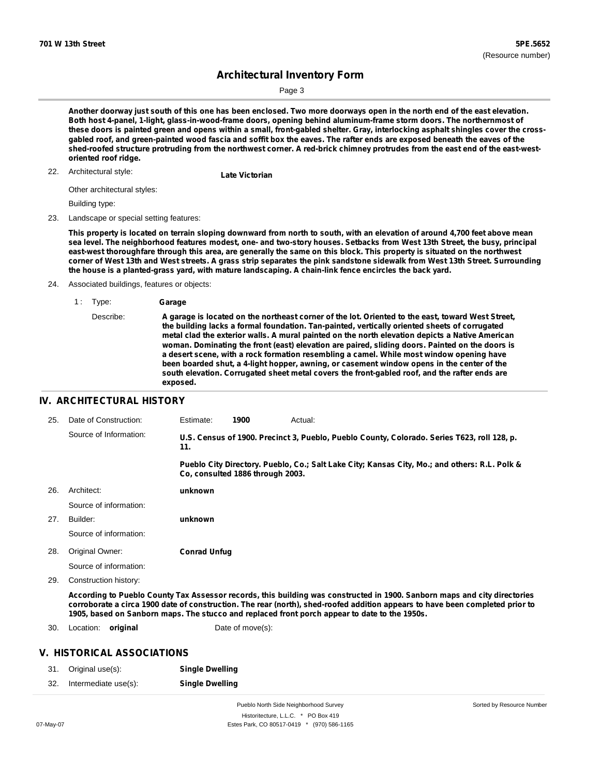Sorted by Resource Number

# **Architectural Inventory Form**

Page 3

Another doorway just south of this one has been enclosed. Two more doorways open in the north end of the east elevation. **Both host 4-panel, 1-light, glass-in-wood-frame doors, opening behind aluminum-frame storm doors. The northernmost of** these doors is painted green and opens within a small, front-gabled shelter. Gray, interlocking asphalt shingles cover the crossgabled roof, and green-painted wood fascia and soffit box the eaves. The rafter ends are exposed beneath the eaves of the shed-roofed structure protruding from the northwest corner. A red-brick chimney protrudes from the east end of the east-west**oriented roof ridge.**

# Architectural style: 22. **Late Victorian**

Other architectural styles:

Building type:

23. Landscape or special setting features:

This property is located on terrain sloping downward from north to south, with an elevation of around 4,700 feet above mean sea level. The neighborhood features modest, one- and two-story houses. Setbacks from West 13th Street, the busy, principal east-west thoroughfare through this area, are generally the same on this block. This property is situated on the northwest corner of West 13th and West streets. A grass strip separates the pink sandstone sidewalk from West 13th Street. Surrounding **the house is a planted-grass yard, with mature landscaping. A chain-link fence encircles the back yard.**

- 24. Associated buildings, features or objects:
	- 1 : Type: **Garage**

#### **IV. ARCHITECTURAL HISTORY**

| 25. | Date of Construction:  | Estimate:           | 1900                             | Actual:                                                                                                                                                                                                                                                                                                                                                     |
|-----|------------------------|---------------------|----------------------------------|-------------------------------------------------------------------------------------------------------------------------------------------------------------------------------------------------------------------------------------------------------------------------------------------------------------------------------------------------------------|
|     | Source of Information: | 11.                 |                                  | U.S. Census of 1900. Precinct 3, Pueblo, Pueblo County, Colorado. Series T623, roll 128, p.                                                                                                                                                                                                                                                                 |
|     |                        |                     | Co, consulted 1886 through 2003. | Pueblo City Directory. Pueblo, Co.; Salt Lake City; Kansas City, Mo.; and others: R.L. Polk &                                                                                                                                                                                                                                                               |
| 26. | Architect:             | unknown             |                                  |                                                                                                                                                                                                                                                                                                                                                             |
|     | Source of information: |                     |                                  |                                                                                                                                                                                                                                                                                                                                                             |
| 27. | Builder:               | unknown             |                                  |                                                                                                                                                                                                                                                                                                                                                             |
|     | Source of information: |                     |                                  |                                                                                                                                                                                                                                                                                                                                                             |
| 28. | Original Owner:        | <b>Conrad Unfug</b> |                                  |                                                                                                                                                                                                                                                                                                                                                             |
|     | Source of information: |                     |                                  |                                                                                                                                                                                                                                                                                                                                                             |
| 29. | Construction history:  |                     |                                  |                                                                                                                                                                                                                                                                                                                                                             |
|     |                        |                     |                                  | According to Pueblo County Tax Assessor records, this building was constructed in 1900. Sanborn maps and city directories<br>corroborate a circa 1900 date of construction. The rear (north), shed-roofed addition appears to have been completed prior to<br>1905, based on Sanborn maps. The stucco and replaced front porch appear to date to the 1950s. |

30. Location: **original Date of move(s):** 

#### **V. HISTORICAL ASSOCIATIONS**

|     | 31. Original use(s): | <b>Single Dwelling</b> |
|-----|----------------------|------------------------|
| 32. | Intermediate use(s): | <b>Single Dwelling</b> |

Pueblo North Side Neighborhood Survey Historitecture, L.L.C. \* PO Box 419 07-May-07 Estes Park, CO 80517-0419 \* (970) 586-1165

Describe: A garage is located on the northeast corner of the lot. Oriented to the east, toward West Street, **the building lacks a formal foundation. Tan-painted, vertically oriented sheets of corrugated metal clad the exterior walls. A mural painted on the north elevation depicts a Native American woman. Dominating the front (east) elevation are paired, sliding doors. Painted on the doors is a desert scene, with a rock formation resembling a camel. While most window opening have been boarded shut, a 4-light hopper, awning, or casement window opens in the center of the south elevation. Corrugated sheet metal covers the front-gabled roof, and the rafter ends are exposed.**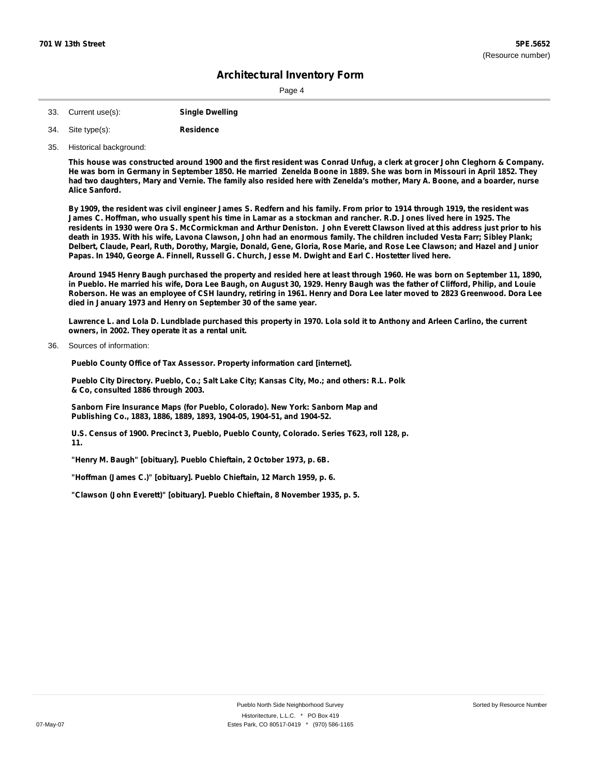Page 4

- 33. Current use(s): **Single Dwelling**
- **Residence** Site type(s): 34.
- 35. Historical background:

This house was constructed around 1900 and the first resident was Conrad Unfug, a clerk at grocer John Cleghorn & Company. He was born in Germany in September 1850. He married Zenelda Boone in 1889. She was born in Missouri in April 1852. They had two daughters, Mary and Vernie. The family also resided here with Zenelda's mother, Mary A. Boone, and a boarder, nurse **Alice Sanford.**

By 1909, the resident was civil engineer James S. Redfern and his family. From prior to 1914 through 1919, the resident was James C. Hoffman, who usually spent his time in Lamar as a stockman and rancher. R.D. Jones lived here in 1925. The residents in 1930 were Ora S. McCormickman and Arthur Deniston. John Everett Clawson lived at this address just prior to his death in 1935. With his wife, Lavona Clawson, John had an enormous family. The children included Vesta Farr; Sibley Plank; Delbert, Claude, Pearl, Ruth, Dorothy, Margie, Donald, Gene, Gloria, Rose Marie, and Rose Lee Clawson; and Hazel and Junior Papas. In 1940, George A. Finnell, Russell G. Church, Jesse M. Dwight and Earl C. Hostetter lived here.

Around 1945 Henry Baugh purchased the property and resided here at least through 1960. He was born on September 11, 1890, in Pueblo. He married his wife, Dora Lee Baugh, on August 30, 1929. Henry Baugh was the father of Clifford, Philip, and Louie Roberson. He was an employee of CSH laundry, retiring in 1961. Henry and Dora Lee later moved to 2823 Greenwood. Dora Lee **died in January 1973 and Henry on September 30 of the same year.**

Lawrence L. and Lola D. Lundblade purchased this property in 1970. Lola sold it to Anthony and Arleen Carlino, the current **owners, in 2002. They operate it as a rental unit.**

Sources of information: 36.

**Pueblo County Office of Tax Assessor. Property information card [internet].**

**Pueblo City Directory. Pueblo, Co.; Salt Lake City; Kansas City, Mo.; and others: R.L. Polk & Co, consulted 1886 through 2003.**

**Sanborn Fire Insurance Maps (for Pueblo, Colorado). New York: Sanborn Map and Publishing Co., 1883, 1886, 1889, 1893, 1904-05, 1904-51, and 1904-52.**

**U.S. Census of 1900. Precinct 3, Pueblo, Pueblo County, Colorado. Series T623, roll 128, p. 11.**

**"Henry M. Baugh" [obituary]. Pueblo Chieftain, 2 October 1973, p. 6B.**

**"Hoffman (James C.)" [obituary]. Pueblo Chieftain, 12 March 1959, p. 6.**

**"Clawson (John Everett)" [obituary]. Pueblo Chieftain, 8 November 1935, p. 5.**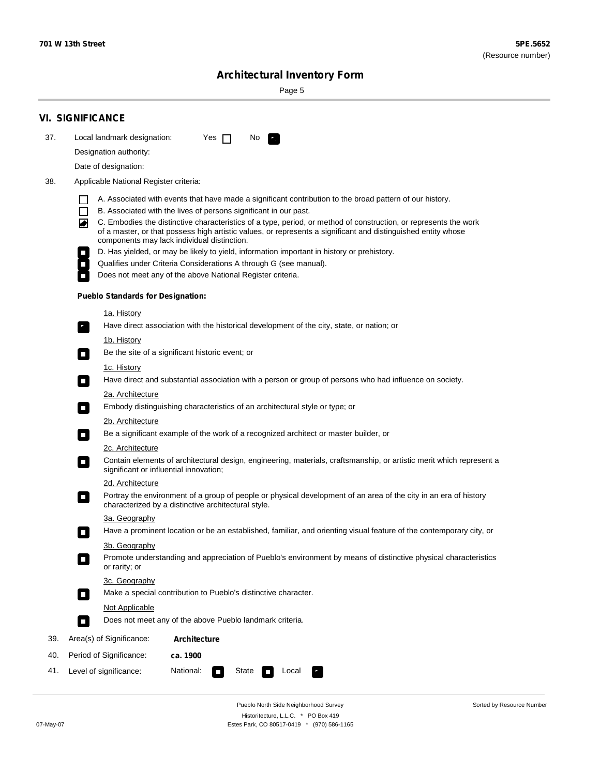۰

Sorted by Resource Number

# **Architectural Inventory Form**

Page 5

|     | <b>VI. SIGNIFICANCE</b>                                                                                                                                                                                                                                                          |  |  |  |  |  |  |  |  |
|-----|----------------------------------------------------------------------------------------------------------------------------------------------------------------------------------------------------------------------------------------------------------------------------------|--|--|--|--|--|--|--|--|
| 37. | Local landmark designation:<br>Yes $\Box$<br>No.<br>$\mathbf{r}_\perp$                                                                                                                                                                                                           |  |  |  |  |  |  |  |  |
|     | Designation authority:                                                                                                                                                                                                                                                           |  |  |  |  |  |  |  |  |
|     | Date of designation:                                                                                                                                                                                                                                                             |  |  |  |  |  |  |  |  |
| 38. | Applicable National Register criteria:                                                                                                                                                                                                                                           |  |  |  |  |  |  |  |  |
|     | A. Associated with events that have made a significant contribution to the broad pattern of our history.                                                                                                                                                                         |  |  |  |  |  |  |  |  |
|     | B. Associated with the lives of persons significant in our past.<br>$\mathsf{L}$                                                                                                                                                                                                 |  |  |  |  |  |  |  |  |
|     | C. Embodies the distinctive characteristics of a type, period, or method of construction, or represents the work<br>of a master, or that possess high artistic values, or represents a significant and distinguished entity whose<br>components may lack individual distinction. |  |  |  |  |  |  |  |  |
|     | D. Has yielded, or may be likely to yield, information important in history or prehistory.                                                                                                                                                                                       |  |  |  |  |  |  |  |  |
|     | Qualifies under Criteria Considerations A through G (see manual).                                                                                                                                                                                                                |  |  |  |  |  |  |  |  |
|     | Does not meet any of the above National Register criteria.                                                                                                                                                                                                                       |  |  |  |  |  |  |  |  |
|     | <b>Pueblo Standards for Designation:</b>                                                                                                                                                                                                                                         |  |  |  |  |  |  |  |  |
|     | <u>1a. History</u>                                                                                                                                                                                                                                                               |  |  |  |  |  |  |  |  |
|     | Have direct association with the historical development of the city, state, or nation; or<br>$\mathbf{r}_\perp$                                                                                                                                                                  |  |  |  |  |  |  |  |  |
|     | <u>1b. History</u>                                                                                                                                                                                                                                                               |  |  |  |  |  |  |  |  |
|     | Be the site of a significant historic event; or<br>$\blacksquare$                                                                                                                                                                                                                |  |  |  |  |  |  |  |  |
|     | 1c. History<br>Have direct and substantial association with a person or group of persons who had influence on society.<br>$\blacksquare$                                                                                                                                         |  |  |  |  |  |  |  |  |
|     | 2a. Architecture                                                                                                                                                                                                                                                                 |  |  |  |  |  |  |  |  |
|     | Embody distinguishing characteristics of an architectural style or type; or<br>$\Box$                                                                                                                                                                                            |  |  |  |  |  |  |  |  |
|     | 2b. Architecture                                                                                                                                                                                                                                                                 |  |  |  |  |  |  |  |  |
|     | Be a significant example of the work of a recognized architect or master builder, or<br>$\mathcal{L}_{\mathcal{A}}$                                                                                                                                                              |  |  |  |  |  |  |  |  |
|     | 2c. Architecture                                                                                                                                                                                                                                                                 |  |  |  |  |  |  |  |  |
|     | Contain elements of architectural design, engineering, materials, craftsmanship, or artistic merit which represent a<br>$\mathcal{L}_{\mathcal{A}}$<br>significant or influential innovation;                                                                                    |  |  |  |  |  |  |  |  |
|     | 2d. Architecture                                                                                                                                                                                                                                                                 |  |  |  |  |  |  |  |  |
|     | Portray the environment of a group of people or physical development of an area of the city in an era of history<br>$\mathcal{L}_{\mathcal{A}}$<br>characterized by a distinctive architectural style.                                                                           |  |  |  |  |  |  |  |  |
|     | 3a. Geography                                                                                                                                                                                                                                                                    |  |  |  |  |  |  |  |  |
|     | Have a prominent location or be an established, familiar, and orienting visual feature of the contemporary city, or<br>П                                                                                                                                                         |  |  |  |  |  |  |  |  |
|     | 3b. Geography                                                                                                                                                                                                                                                                    |  |  |  |  |  |  |  |  |
|     | Promote understanding and appreciation of Pueblo's environment by means of distinctive physical characteristics<br>or rarity; or                                                                                                                                                 |  |  |  |  |  |  |  |  |
|     | 3c. Geography                                                                                                                                                                                                                                                                    |  |  |  |  |  |  |  |  |
|     | Make a special contribution to Pueblo's distinctive character.<br>$\overline{\phantom{a}}$                                                                                                                                                                                       |  |  |  |  |  |  |  |  |
|     | <b>Not Applicable</b>                                                                                                                                                                                                                                                            |  |  |  |  |  |  |  |  |
|     | Does not meet any of the above Pueblo landmark criteria.<br>$\overline{\phantom{a}}$                                                                                                                                                                                             |  |  |  |  |  |  |  |  |
| 39. | Area(s) of Significance:<br><b>Architecture</b>                                                                                                                                                                                                                                  |  |  |  |  |  |  |  |  |
| 40. | Period of Significance:<br>ca. 1900                                                                                                                                                                                                                                              |  |  |  |  |  |  |  |  |
| 41. | National:<br>Level of significance:<br>State<br>Local                                                                                                                                                                                                                            |  |  |  |  |  |  |  |  |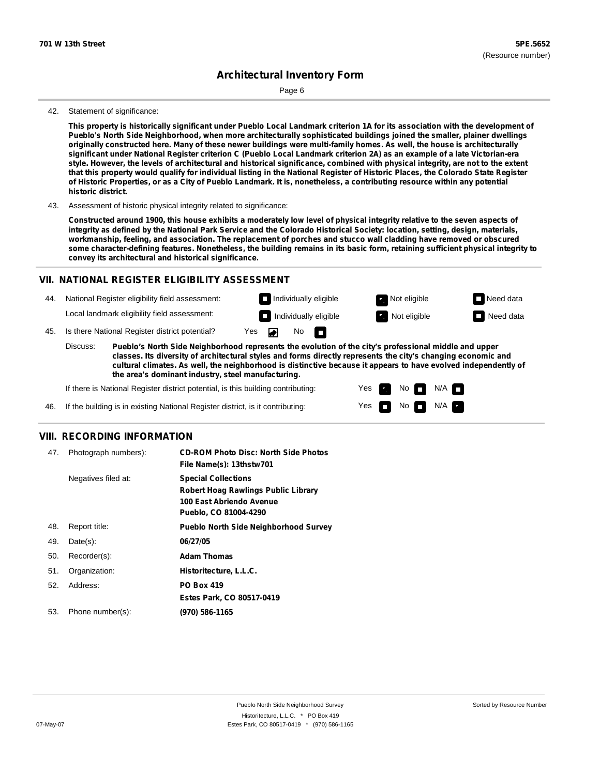Page 6

#### 42. Statement of significance:

This property is historically significant under Pueblo Local Landmark criterion 1A for its association with the development of **Pueblo's North Side Neighborhood, when more architecturally sophisticated buildings joined the smaller, plainer dwellings** originally constructed here. Many of these newer buildings were multi-family homes. As well, the house is architecturally significant under National Register criterion C (Pueblo Local Landmark criterion 2A) as an example of a late Victorian-era style. However, the levels of architectural and historical significance, combined with physical integrity, are not to the extent that this property would qualify for individual listing in the National Register of Historic Places, the Colorado State Register of Historic Properties, or as a City of Pueblo Landmark. It is, nonetheless, a contributing resource within any potential **historic district.**

43. Assessment of historic physical integrity related to significance:

Constructed around 1900, this house exhibits a moderately low level of physical integrity relative to the seven aspects of integrity as defined by the National Park Service and the Colorado Historical Society: location, setting, design, materials, workmanship, feeling, and association. The replacement of porches and stucco wall cladding have removed or obscured some character-defining features. Nonetheless, the building remains in its basic form, retaining sufficient physical integrity to **convey its architectural and historical significance.**

#### **VII. NATIONAL REGISTER ELIGIBILITY ASSESSMENT**

44. National Register eligibility field assessment: Local landmark eligibility field assessment:

45. Is there National Register district potential? Yes **Individually eligible Not eligible** Not eligible **Need data** 

**Pueblo's North Side Neighborhood represents the evolution of the city's professional middle and upper classes. Its diversity of architectural styles and forms directly represents the city's changing economic and cultural climates. As well, the neighborhood is distinctive because it appears to have evolved independently of the area's dominant industry, steel manufacturing.** Discuss:

No

m

▰

Yes Yes No

**Individually eligible Not eligible** Not eligible **Need data** 

 $No$   $\neg$   $N/A$ 

 $N/A$ 

If there is National Register district potential, is this building contributing:

If the building is in existing National Register district, is it contributing: 46.

#### **VIII. RECORDING INFORMATION**

| 47. | Photograph numbers): | <b>CD-ROM Photo Disc: North Side Photos</b><br>File Name(s): 13thstw701                                                       |
|-----|----------------------|-------------------------------------------------------------------------------------------------------------------------------|
|     | Negatives filed at:  | <b>Special Collections</b><br><b>Robert Hoag Rawlings Public Library</b><br>100 East Abriendo Avenue<br>Pueblo, CO 81004-4290 |
| 48. | Report title:        | <b>Pueblo North Side Neighborhood Survey</b>                                                                                  |
| 49. | $Date(s)$ :          | 06/27/05                                                                                                                      |
| 50. | Recorder(s):         | <b>Adam Thomas</b>                                                                                                            |
| 51. | Organization:        | Historitecture, L.L.C.                                                                                                        |
| 52. | Address:             | <b>PO Box 419</b>                                                                                                             |
|     |                      | Estes Park, CO 80517-0419                                                                                                     |
| 53. | Phone number(s):     | (970) 586-1165                                                                                                                |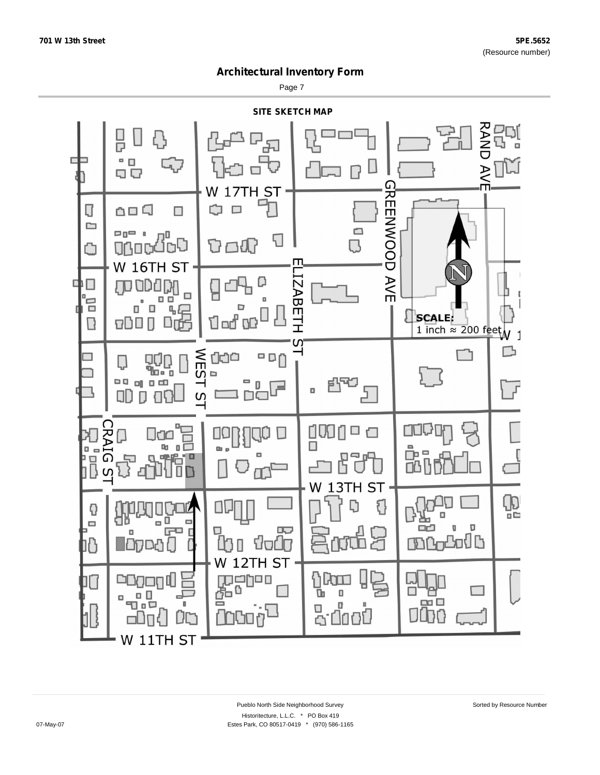Page 7